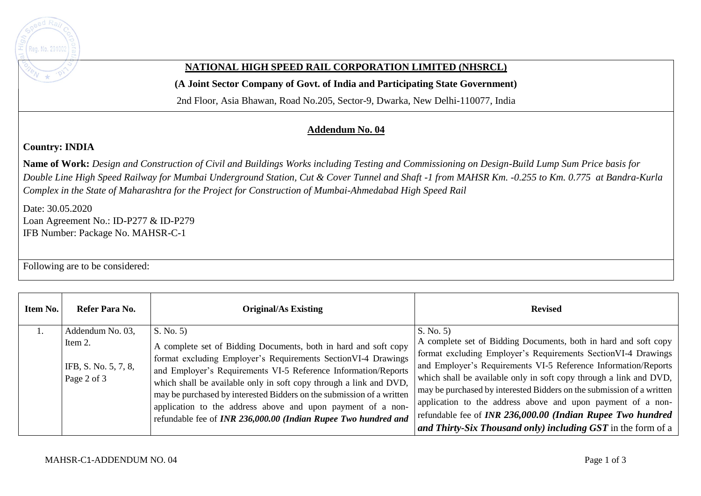

## **NATIONAL HIGH SPEED RAIL CORPORATION LIMITED (NHSRCL)**

**(A Joint Sector Company of Govt. of India and Participating State Government)** 

2nd Floor, Asia Bhawan, Road No.205, Sector-9, Dwarka, New Delhi-110077, India

## **Addendum No. 04**

## **Country: INDIA**

**Name of Work:** *Design and Construction of Civil and Buildings Works including Testing and Commissioning on Design-Build Lump Sum Price basis for Double Line High Speed Railway for Mumbai Underground Station, Cut & Cover Tunnel and Shaft -1 from MAHSR Km. -0.255 to Km. 0.775 at Bandra-Kurla Complex in the State of Maharashtra for the Project for Construction of Mumbai-Ahmedabad High Speed Rail*

Date: 30.05.2020 Loan Agreement No.: ID-P277 & ID-P279 IFB Number: Package No. MAHSR-C-1

Following are to be considered:

| Item No. | Refer Para No.                                 | <b>Original/As Existing</b>                                                                                                                                                                                                                                                                                                                                                                                                                                                        | <b>Revised</b>                                                                                                                                                                                                                                                                                                                                                                                                                                                                                                                                  |
|----------|------------------------------------------------|------------------------------------------------------------------------------------------------------------------------------------------------------------------------------------------------------------------------------------------------------------------------------------------------------------------------------------------------------------------------------------------------------------------------------------------------------------------------------------|-------------------------------------------------------------------------------------------------------------------------------------------------------------------------------------------------------------------------------------------------------------------------------------------------------------------------------------------------------------------------------------------------------------------------------------------------------------------------------------------------------------------------------------------------|
|          | Addendum No. 03,                               | S. No. 5)                                                                                                                                                                                                                                                                                                                                                                                                                                                                          | S. No. 5                                                                                                                                                                                                                                                                                                                                                                                                                                                                                                                                        |
|          | Item 2.<br>IFB, S. No. 5, 7, 8,<br>Page 2 of 3 | A complete set of Bidding Documents, both in hard and soft copy<br>format excluding Employer's Requirements SectionVI-4 Drawings<br>and Employer's Requirements VI-5 Reference Information/Reports<br>which shall be available only in soft copy through a link and DVD,<br>may be purchased by interested Bidders on the submission of a written<br>application to the address above and upon payment of a non-<br>refundable fee of INR 236,000.00 (Indian Rupee Two hundred and | A complete set of Bidding Documents, both in hard and soft copy<br>format excluding Employer's Requirements Section VI-4 Drawings<br>and Employer's Requirements VI-5 Reference Information/Reports<br>which shall be available only in soft copy through a link and DVD,<br>may be purchased by interested Bidders on the submission of a written<br>application to the address above and upon payment of a non-<br>refundable fee of INR 236,000.00 (Indian Rupee Two hundred<br>and Thirty-Six Thousand only) including GST in the form of a |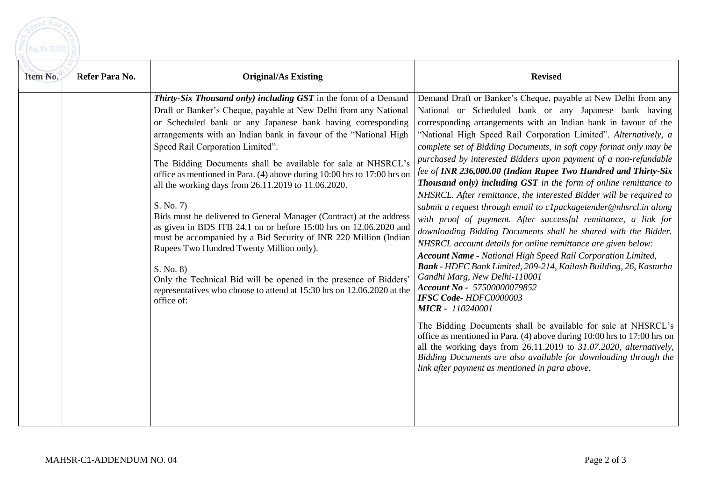| Raj             |  |
|-----------------|--|
|                 |  |
| Reg. No. 291002 |  |
|                 |  |

| Item No.<br>Refer Para No. | <b>Original/As Existing</b>                                                                                                                                                                                                                                                                                                                                                                                                                                                                                                                                                                                                                                                                                                                                                                                                                                                                                                                                     | <b>Revised</b>                                                                                                                                                                                                                                                                                                                                                                                                                                                                                                                                                                                                                                                                                                                                                                                                                                                                                                                                                                                                                                                                                                                                                                                                                                                                                                                                                                                                                                                                                           |
|----------------------------|-----------------------------------------------------------------------------------------------------------------------------------------------------------------------------------------------------------------------------------------------------------------------------------------------------------------------------------------------------------------------------------------------------------------------------------------------------------------------------------------------------------------------------------------------------------------------------------------------------------------------------------------------------------------------------------------------------------------------------------------------------------------------------------------------------------------------------------------------------------------------------------------------------------------------------------------------------------------|----------------------------------------------------------------------------------------------------------------------------------------------------------------------------------------------------------------------------------------------------------------------------------------------------------------------------------------------------------------------------------------------------------------------------------------------------------------------------------------------------------------------------------------------------------------------------------------------------------------------------------------------------------------------------------------------------------------------------------------------------------------------------------------------------------------------------------------------------------------------------------------------------------------------------------------------------------------------------------------------------------------------------------------------------------------------------------------------------------------------------------------------------------------------------------------------------------------------------------------------------------------------------------------------------------------------------------------------------------------------------------------------------------------------------------------------------------------------------------------------------------|
|                            | Thirty-Six Thousand only) including GST in the form of a Demand<br>Draft or Banker's Cheque, payable at New Delhi from any National<br>or Scheduled bank or any Japanese bank having corresponding<br>arrangements with an Indian bank in favour of the "National High<br>Speed Rail Corporation Limited".<br>The Bidding Documents shall be available for sale at NHSRCL's<br>office as mentioned in Para. (4) above during 10:00 hrs to 17:00 hrs on<br>all the working days from 26.11.2019 to 11.06.2020.<br>S. No. 7)<br>Bids must be delivered to General Manager (Contract) at the address<br>as given in BDS ITB 24.1 on or before 15:00 hrs on 12.06.2020 and<br>must be accompanied by a Bid Security of INR 220 Million (Indian<br>Rupees Two Hundred Twenty Million only).<br>S. No. 8)<br>Only the Technical Bid will be opened in the presence of Bidders<br>representatives who choose to attend at 15:30 hrs on 12.06.2020 at the<br>office of: | Demand Draft or Banker's Cheque, payable at New Delhi from any<br>National or Scheduled bank or any Japanese bank having<br>corresponding arrangements with an Indian bank in favour of the<br>"National High Speed Rail Corporation Limited". Alternatively, a<br>complete set of Bidding Documents, in soft copy format only may be<br>purchased by interested Bidders upon payment of a non-refundable<br>fee of INR 236,000.00 (Indian Rupee Two Hundred and Thirty-Six<br>Thousand only) including GST in the form of online remittance to<br>NHSRCL. After remittance, the interested Bidder will be required to<br>submit a request through email to c1packagetender@nhsrcl.in along<br>with proof of payment. After successful remittance, a link for<br>downloading Bidding Documents shall be shared with the Bidder.<br>NHSRCL account details for online remittance are given below:<br><b>Account Name - National High Speed Rail Corporation Limited,</b><br>Bank - HDFC Bank Limited, 209-214, Kailash Building, 26, Kasturba<br>Gandhi Marg, New Delhi-110001<br>Account No - 57500000079852<br>IFSC Code-HDFC0000003<br><b>MICR - 110240001</b><br>The Bidding Documents shall be available for sale at NHSRCL's<br>office as mentioned in Para. (4) above during 10:00 hrs to 17:00 hrs on<br>all the working days from 26.11.2019 to 31.07.2020, alternatively,<br>Bidding Documents are also available for downloading through the<br>link after payment as mentioned in para above. |